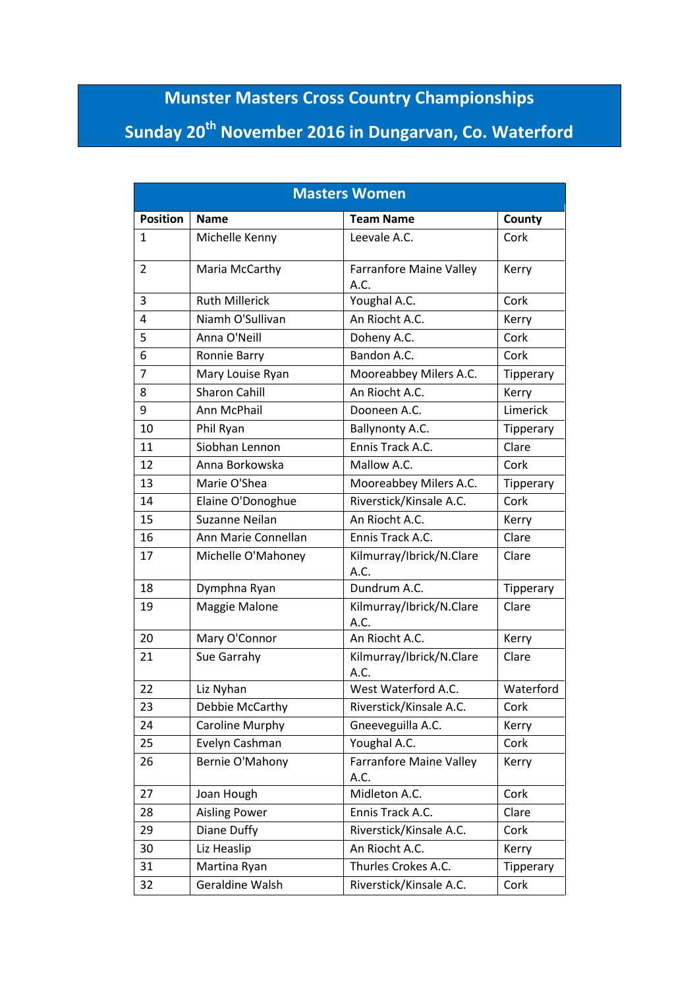## **Munster Masters Cross Country Championships**

## **Sunday 20th November 2016 in Dungarvan, Co. Waterford**

| <b>Masters Women</b> |                       |                                        |           |
|----------------------|-----------------------|----------------------------------------|-----------|
| <b>Position</b>      | <b>Name</b>           | <b>Team Name</b>                       | County    |
| 1                    | Michelle Kenny        | Leevale A.C.                           | Cork      |
| 2                    | Maria McCarthy        | <b>Farranfore Maine Valley</b><br>A.C. | Kerry     |
| 3                    | <b>Ruth Millerick</b> | Youghal A.C.                           | Cork      |
| 4                    | Niamh O'Sullivan      | An Riocht A.C.                         | Kerry     |
| 5                    | Anna O'Neill          | Doheny A.C.                            | Cork      |
| 6                    | Ronnie Barry          | Bandon A.C.                            | Cork      |
| $\overline{7}$       | Mary Louise Ryan      | Mooreabbey Milers A.C.                 | Tipperary |
| 8                    | <b>Sharon Cahill</b>  | An Riocht A.C.                         | Kerry     |
| 9                    | Ann McPhail           | Dooneen A.C.                           | Limerick  |
| 10                   | Phil Ryan             | Ballynonty A.C.                        | Tipperary |
| 11                   | Siobhan Lennon        | Ennis Track A.C.                       | Clare     |
| 12                   | Anna Borkowska        | Mallow A.C.                            | Cork      |
| 13                   | Marie O'Shea          | Mooreabbey Milers A.C.                 | Tipperary |
| 14                   | Elaine O'Donoghue     | Riverstick/Kinsale A.C.                | Cork      |
| 15                   | Suzanne Neilan        | An Riocht A.C.                         | Kerry     |
| 16                   | Ann Marie Connellan   | Ennis Track A.C.                       | Clare     |
| 17                   | Michelle O'Mahoney    | Kilmurray/Ibrick/N.Clare<br>A.C.       | Clare     |
| 18                   | Dymphna Ryan          | Dundrum A.C.                           | Tipperary |
| 19                   | Maggie Malone         | Kilmurray/Ibrick/N.Clare<br>A.C.       | Clare     |
| 20                   | Mary O'Connor         | An Riocht A.C.                         | Kerry     |
| 21                   | Sue Garrahy           | Kilmurray/Ibrick/N.Clare<br>A.C.       | Clare     |
| 22                   | Liz Nyhan             | West Waterford A.C.                    | Waterford |
| 23                   | Debbie McCarthy       | Riverstick/Kinsale A.C.                | Cork      |
| 24                   | Caroline Murphy       | Gneeveguilla A.C.                      | Kerry     |
| 25                   | Evelyn Cashman        | Youghal A.C.                           | Cork      |
| 26                   | Bernie O'Mahony       | <b>Farranfore Maine Valley</b><br>A.C. | Kerry     |
| 27                   | Joan Hough            | Midleton A.C.                          | Cork      |
| 28                   | <b>Aisling Power</b>  | Ennis Track A.C.                       | Clare     |
| 29                   | Diane Duffy           | Riverstick/Kinsale A.C.                | Cork      |
| 30                   | Liz Heaslip           | An Riocht A.C.                         | Kerry     |
| 31                   | Martina Ryan          | Thurles Crokes A.C.                    | Tipperary |
| 32                   | Geraldine Walsh       | Riverstick/Kinsale A.C.                | Cork      |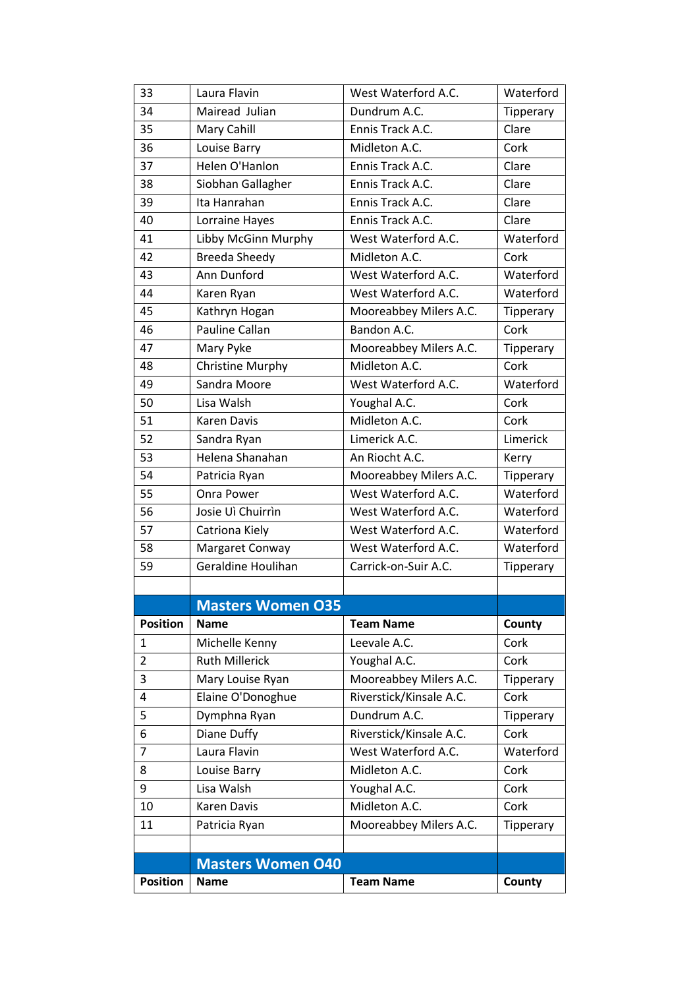|                 | <b>Masters Women O40</b> |                         |           |
|-----------------|--------------------------|-------------------------|-----------|
|                 |                          |                         |           |
| 11              | Patricia Ryan            | Mooreabbey Milers A.C.  | Tipperary |
| 10              | Karen Davis              | Midleton A.C.           | Cork      |
| 9               | Lisa Walsh               | Youghal A.C.            | Cork      |
| 8               | Louise Barry             | Midleton A.C.           | Cork      |
| $\overline{7}$  | Laura Flavin             | West Waterford A.C.     | Waterford |
| 6               | Diane Duffy              | Riverstick/Kinsale A.C. | Cork      |
| 5               | Dymphna Ryan             | Dundrum A.C.            | Tipperary |
| 4               | Elaine O'Donoghue        | Riverstick/Kinsale A.C. | Cork      |
| 3               | Mary Louise Ryan         | Mooreabbey Milers A.C.  | Tipperary |
| $\overline{2}$  | <b>Ruth Millerick</b>    | Youghal A.C.            | Cork      |
| 1               | Michelle Kenny           | Leevale A.C.            | Cork      |
| <b>Position</b> | <b>Name</b>              | <b>Team Name</b>        | County    |
|                 | <b>Masters Women 035</b> |                         |           |
|                 |                          |                         |           |
| 59              | Geraldine Houlihan       | Carrick-on-Suir A.C.    | Tipperary |
| 58              | Margaret Conway          | West Waterford A.C.     | Waterford |
| 57              | Catriona Kiely           | West Waterford A.C.     | Waterford |
| 56              | Josie Uì Chuirrìn        | West Waterford A.C.     | Waterford |
| 55              | Onra Power               | West Waterford A.C.     | Waterford |
| 54              | Patricia Ryan            | Mooreabbey Milers A.C.  | Tipperary |
| 53              | Helena Shanahan          | An Riocht A.C.          | Kerry     |
| 52              | Sandra Ryan              | Limerick A.C.           | Limerick  |
| 51              | Karen Davis              | Midleton A.C.           | Cork      |
| 50              | Lisa Walsh               | Youghal A.C.            | Cork      |
| 49              | Sandra Moore             | West Waterford A.C.     | Waterford |
| 48              | Christine Murphy         | Midleton A.C.           | Cork      |
| 47              | Mary Pyke                | Mooreabbey Milers A.C.  | Tipperary |
| 46              | Pauline Callan           | Bandon A.C.             | Cork      |
| 45              | Kathryn Hogan            | Mooreabbey Milers A.C.  | Tipperary |
| 44              | Karen Ryan               | West Waterford A.C.     | Waterford |
| 43              | Ann Dunford              | West Waterford A.C.     | Waterford |
| 42              | <b>Breeda Sheedy</b>     | Midleton A.C.           | Cork      |
| 41              | Libby McGinn Murphy      | West Waterford A.C.     | Waterford |
| 40              | Lorraine Hayes           | Ennis Track A.C.        | Clare     |
| 39              | Ita Hanrahan             | Ennis Track A.C.        | Clare     |
| 38              | Siobhan Gallagher        | Ennis Track A.C.        | Clare     |
| 37              | Helen O'Hanlon           | Ennis Track A.C.        | Clare     |
| 36              | Louise Barry             | Midleton A.C.           | Cork      |
| 35              | Mary Cahill              | Ennis Track A.C.        | Clare     |
| 34              | Mairead Julian           | Dundrum A.C.            | Tipperary |
| 33              | Laura Flavin             | West Waterford A.C.     | Waterford |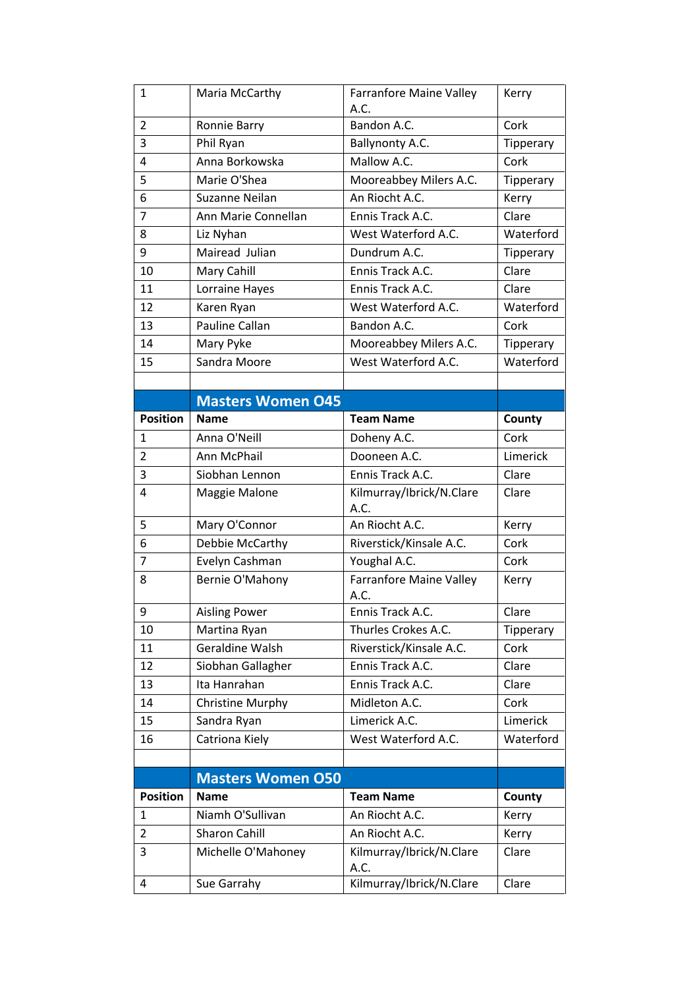| $\mathbf{1}$    | Maria McCarthy           | <b>Farranfore Maine Valley</b><br>A.C. | Kerry     |
|-----------------|--------------------------|----------------------------------------|-----------|
| $\overline{2}$  | Ronnie Barry             | Bandon A.C.                            | Cork      |
| 3               | Phil Ryan                | Ballynonty A.C.                        | Tipperary |
| 4               | Anna Borkowska           | Mallow A.C.                            | Cork      |
| 5               | Marie O'Shea             | Mooreabbey Milers A.C.                 | Tipperary |
| 6               | Suzanne Neilan           | An Riocht A.C.                         | Kerry     |
| $\overline{7}$  | Ann Marie Connellan      | Ennis Track A.C.                       | Clare     |
| 8               | Liz Nyhan                | West Waterford A.C.                    | Waterford |
| 9               | Mairead Julian           | Dundrum A.C.                           | Tipperary |
| 10              | Mary Cahill              | Ennis Track A.C.                       | Clare     |
| 11              | Lorraine Hayes           | Ennis Track A.C.                       | Clare     |
| 12              | Karen Ryan               | West Waterford A.C.                    | Waterford |
| 13              | Pauline Callan           | Bandon A.C.                            | Cork      |
| 14              | Mary Pyke                | Mooreabbey Milers A.C.                 | Tipperary |
| 15              | Sandra Moore             | West Waterford A.C.                    | Waterford |
|                 |                          |                                        |           |
|                 | <b>Masters Women 045</b> |                                        |           |
| <b>Position</b> | <b>Name</b>              | <b>Team Name</b>                       | County    |
| 1               | Anna O'Neill             | Doheny A.C.                            | Cork      |
| $\overline{2}$  | Ann McPhail              | Dooneen A.C.                           | Limerick  |
| 3               | Siobhan Lennon           | Ennis Track A.C.                       | Clare     |
| 4               | Maggie Malone            | Kilmurray/Ibrick/N.Clare<br>A.C.       | Clare     |
| 5               | Mary O'Connor            | An Riocht A.C.                         | Kerry     |
| 6               | Debbie McCarthy          | Riverstick/Kinsale A.C.                | Cork      |
| $\overline{7}$  | Evelyn Cashman           | Youghal A.C.                           | Cork      |
| 8               | Bernie O'Mahony          | Farranfore Maine Valley<br>A.C.        | Kerry     |
| 9               | <b>Aisling Power</b>     | Ennis Track A.C.                       | Clare     |
| 10              | Martina Ryan             | Thurles Crokes A.C.                    | Tipperary |
| 11              | Geraldine Walsh          | Riverstick/Kinsale A.C.                | Cork      |
| 12              | Siobhan Gallagher        | Ennis Track A.C.                       | Clare     |
| 13              | Ita Hanrahan             | Ennis Track A.C.                       | Clare     |
| 14              | <b>Christine Murphy</b>  | Midleton A.C.                          | Cork      |
| 15              | Sandra Ryan              | Limerick A.C.                          | Limerick  |
| 16              | Catriona Kiely           | West Waterford A.C.                    | Waterford |
|                 |                          |                                        |           |
|                 | <b>Masters Women 050</b> |                                        |           |
| <b>Position</b> | <b>Name</b>              | <b>Team Name</b>                       | County    |
| 1               | Niamh O'Sullivan         | An Riocht A.C.                         | Kerry     |
| $\overline{2}$  | <b>Sharon Cahill</b>     | An Riocht A.C.                         | Kerry     |
| 3               | Michelle O'Mahoney       | Kilmurray/Ibrick/N.Clare<br>A.C.       | Clare     |
| 4               | Sue Garrahy              | Kilmurray/Ibrick/N.Clare               | Clare     |
|                 |                          |                                        |           |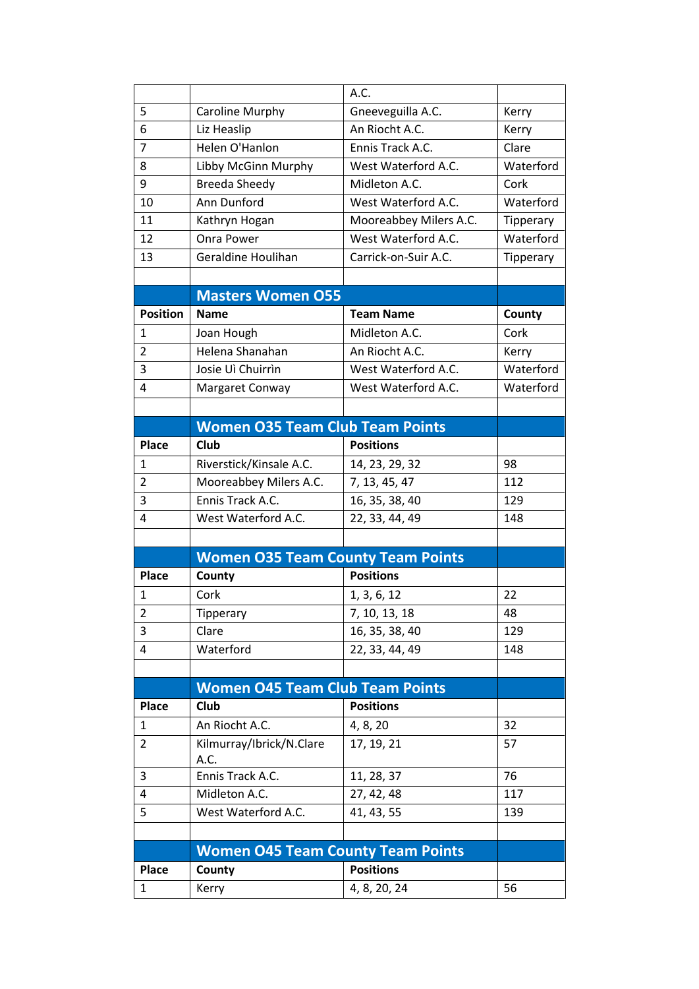|                 |                                          | A.C.                   |           |
|-----------------|------------------------------------------|------------------------|-----------|
| 5               | Caroline Murphy                          | Gneeveguilla A.C.      | Kerry     |
| 6               | Liz Heaslip                              | An Riocht A.C.         | Kerry     |
| 7               | Helen O'Hanlon                           | Ennis Track A.C.       | Clare     |
| 8               | Libby McGinn Murphy                      | West Waterford A.C.    | Waterford |
| 9               | <b>Breeda Sheedy</b>                     | Midleton A.C.          | Cork      |
| 10              | Ann Dunford                              | West Waterford A.C.    | Waterford |
| 11              | Kathryn Hogan                            | Mooreabbey Milers A.C. | Tipperary |
| 12              | <b>Onra Power</b>                        | West Waterford A.C.    | Waterford |
| 13              | Geraldine Houlihan                       | Carrick-on-Suir A.C.   | Tipperary |
|                 |                                          |                        |           |
|                 | <b>Masters Women O55</b>                 |                        |           |
| <b>Position</b> | <b>Name</b>                              | <b>Team Name</b>       | County    |
| 1               | Joan Hough                               | Midleton A.C.          | Cork      |
| $\overline{2}$  | Helena Shanahan                          | An Riocht A.C.         | Kerry     |
| 3               | Josie Uì Chuirrìn                        | West Waterford A.C.    | Waterford |
| 4               | Margaret Conway                          | West Waterford A.C.    | Waterford |
|                 |                                          |                        |           |
|                 | <b>Women O35 Team Club Team Points</b>   |                        |           |
| <b>Place</b>    | Club                                     | <b>Positions</b>       |           |
| 1               | Riverstick/Kinsale A.C.                  | 14, 23, 29, 32         | 98        |
| $\overline{2}$  | Mooreabbey Milers A.C.                   | 7, 13, 45, 47          | 112       |
| 3               | Ennis Track A.C.                         | 16, 35, 38, 40         | 129       |
| 4               | West Waterford A.C.                      | 22, 33, 44, 49         | 148       |
|                 |                                          |                        |           |
|                 | <b>Women O35 Team County Team Points</b> |                        |           |
| <b>Place</b>    | County                                   | <b>Positions</b>       |           |
| $\mathbf{1}$    | Cork                                     | 1, 3, 6, 12            | 22        |
| 2               | Tipperary                                | 7, 10, 13, 18          | 48        |
| 3               | Clare                                    | 16, 35, 38, 40         | 129       |
| 4               | Waterford                                | 22, 33, 44, 49         | 148       |
|                 |                                          |                        |           |
|                 | <b>Women O45 Team Club Team Points</b>   |                        |           |
| <b>Place</b>    | Club                                     | <b>Positions</b>       |           |
| 1               | An Riocht A.C.                           | 4, 8, 20               | 32        |
| $\overline{2}$  | Kilmurray/Ibrick/N.Clare                 | 17, 19, 21             | 57        |
|                 | A.C.                                     |                        |           |
| 3               | Ennis Track A.C.                         | 11, 28, 37             | 76        |
| 4               | Midleton A.C.                            | 27, 42, 48             | 117       |
| 5               | West Waterford A.C.                      | 41, 43, 55             | 139       |
|                 |                                          |                        |           |
|                 | <b>Women O45 Team County Team Points</b> |                        |           |
| <b>Place</b>    | County                                   | <b>Positions</b>       |           |
| 1               | Kerry                                    | 4, 8, 20, 24           | 56        |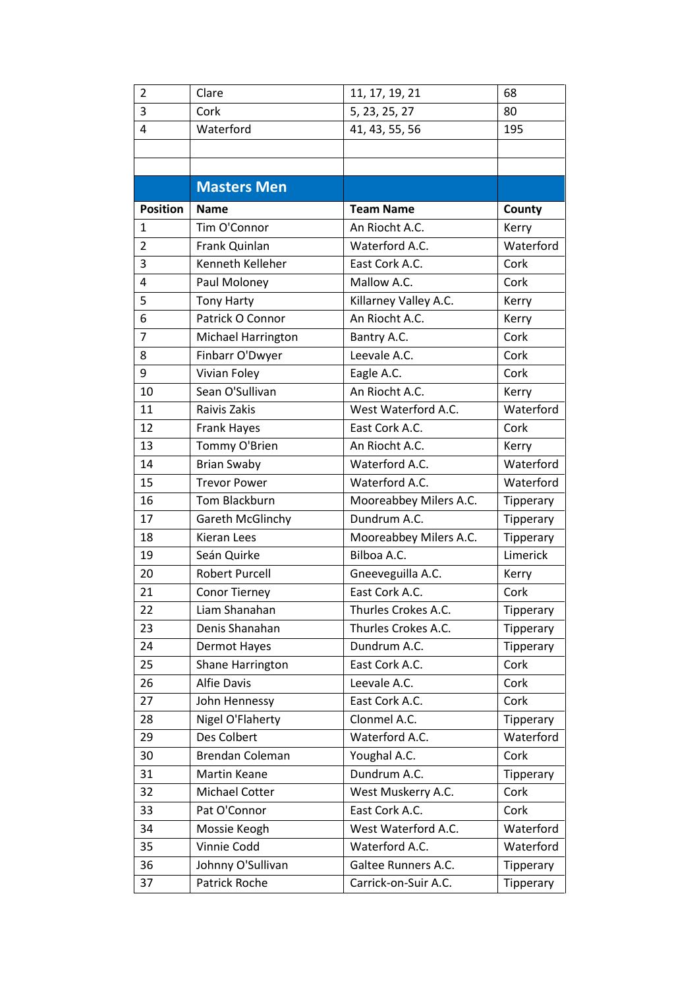| 2               | Clare                 | 11, 17, 19, 21         | 68               |
|-----------------|-----------------------|------------------------|------------------|
| 3               | Cork                  | 5, 23, 25, 27          | 80               |
| 4               | Waterford             | 41, 43, 55, 56         | 195              |
|                 |                       |                        |                  |
|                 |                       |                        |                  |
|                 | <b>Masters Men</b>    |                        |                  |
| <b>Position</b> | <b>Name</b>           | <b>Team Name</b>       | County           |
| 1               | Tim O'Connor          | An Riocht A.C.         | Kerry            |
| $\overline{2}$  | Frank Quinlan         | Waterford A.C.         | Waterford        |
| 3               | Kenneth Kelleher      | East Cork A.C.         | Cork             |
| 4               | Paul Moloney          | Mallow A.C.            | Cork             |
| 5               | <b>Tony Harty</b>     | Killarney Valley A.C.  | Kerry            |
| 6               | Patrick O Connor      | An Riocht A.C.         | Kerry            |
| $\overline{7}$  | Michael Harrington    | Bantry A.C.            | Cork             |
| 8               | Finbarr O'Dwyer       | Leevale A.C.           | Cork             |
| 9               | Vivian Foley          | Eagle A.C.             | Cork             |
| 10              | Sean O'Sullivan       | An Riocht A.C.         | Kerry            |
| 11              | Raivis Zakis          | West Waterford A.C.    | Waterford        |
| 12              | Frank Hayes           | East Cork A.C.         | Cork             |
| 13              | Tommy O'Brien         | An Riocht A.C.         | Kerry            |
| 14              | <b>Brian Swaby</b>    | Waterford A.C.         | Waterford        |
| 15              | <b>Trevor Power</b>   | Waterford A.C.         | Waterford        |
| 16              | Tom Blackburn         | Mooreabbey Milers A.C. | Tipperary        |
| 17              | Gareth McGlinchy      | Dundrum A.C.           | Tipperary        |
| 18              | Kieran Lees           | Mooreabbey Milers A.C. | <b>Tipperary</b> |
| 19              | Seán Quirke           | Bilboa A.C.            | Limerick         |
| 20              | <b>Robert Purcell</b> | Gneeveguilla A.C.      | Kerry            |
| 21              | Conor Tierney         | East Cork A.C.         | Cork             |
| 22              | Liam Shanahan         | Thurles Crokes A.C.    | Tipperary        |
| 23              | Denis Shanahan        | Thurles Crokes A.C.    | Tipperary        |
| 24              | Dermot Hayes          | Dundrum A.C.           | Tipperary        |
| 25              | Shane Harrington      | East Cork A.C.         | Cork             |
| 26              | <b>Alfie Davis</b>    | Leevale A.C.           | Cork             |
| 27              | John Hennessy         | East Cork A.C.         | Cork             |
| 28              | Nigel O'Flaherty      | Clonmel A.C.           | Tipperary        |
| 29              | Des Colbert           | Waterford A.C.         | Waterford        |
| 30              | Brendan Coleman       | Youghal A.C.           | Cork             |
| 31              | <b>Martin Keane</b>   | Dundrum A.C.           | Tipperary        |
| 32              | Michael Cotter        | West Muskerry A.C.     | Cork             |
| 33              | Pat O'Connor          | East Cork A.C.         | Cork             |
| 34              | Mossie Keogh          | West Waterford A.C.    | Waterford        |
| 35              | Vinnie Codd           | Waterford A.C.         | Waterford        |
| 36              | Johnny O'Sullivan     | Galtee Runners A.C.    | Tipperary        |
| 37              | Patrick Roche         | Carrick-on-Suir A.C.   | Tipperary        |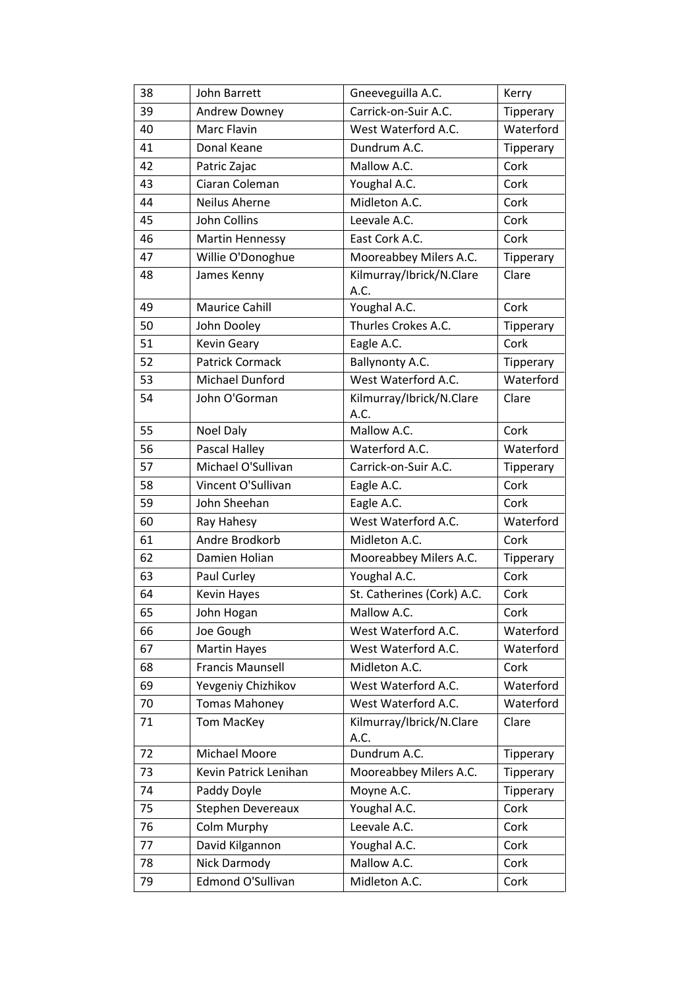| 38 | John Barrett            | Gneeveguilla A.C.                | Kerry     |
|----|-------------------------|----------------------------------|-----------|
| 39 | Andrew Downey           | Carrick-on-Suir A.C.             | Tipperary |
| 40 | Marc Flavin             | West Waterford A.C.              | Waterford |
| 41 | Donal Keane             | Dundrum A.C.                     | Tipperary |
| 42 | Patric Zajac            | Mallow A.C.                      | Cork      |
| 43 | Ciaran Coleman          | Youghal A.C.                     | Cork      |
| 44 | Neilus Aherne           | Midleton A.C.                    | Cork      |
| 45 | <b>John Collins</b>     | Leevale A.C.                     | Cork      |
| 46 | <b>Martin Hennessy</b>  | East Cork A.C.                   | Cork      |
| 47 | Willie O'Donoghue       | Mooreabbey Milers A.C.           | Tipperary |
| 48 | James Kenny             | Kilmurray/Ibrick/N.Clare<br>A.C. | Clare     |
| 49 | <b>Maurice Cahill</b>   | Youghal A.C.                     | Cork      |
| 50 | John Dooley             | Thurles Crokes A.C.              | Tipperary |
| 51 | <b>Kevin Geary</b>      | Eagle A.C.                       | Cork      |
| 52 | Patrick Cormack         | Ballynonty A.C.                  | Tipperary |
| 53 | Michael Dunford         | West Waterford A.C.              | Waterford |
| 54 | John O'Gorman           | Kilmurray/Ibrick/N.Clare<br>A.C. | Clare     |
| 55 | Noel Daly               | Mallow A.C.                      | Cork      |
| 56 | Pascal Halley           | Waterford A.C.                   | Waterford |
| 57 | Michael O'Sullivan      | Carrick-on-Suir A.C.             | Tipperary |
| 58 | Vincent O'Sullivan      | Eagle A.C.                       | Cork      |
| 59 | John Sheehan            | Eagle A.C.                       | Cork      |
| 60 | Ray Hahesy              | West Waterford A.C.              | Waterford |
| 61 | Andre Brodkorb          | Midleton A.C.                    | Cork      |
| 62 | Damien Holian           | Mooreabbey Milers A.C.           | Tipperary |
| 63 | Paul Curley             | Youghal A.C.                     | Cork      |
| 64 | Kevin Hayes             | St. Catherines (Cork) A.C.       | Cork      |
| 65 | John Hogan              | Mallow A.C.                      | Cork      |
| 66 | Joe Gough               | West Waterford A.C.              | Waterford |
| 67 | <b>Martin Hayes</b>     | West Waterford A.C.              | Waterford |
| 68 | <b>Francis Maunsell</b> | Midleton A.C.                    | Cork      |
| 69 | Yevgeniy Chizhikov      | West Waterford A.C.              | Waterford |
| 70 | <b>Tomas Mahoney</b>    | West Waterford A.C.              | Waterford |
| 71 | <b>Tom MacKey</b>       | Kilmurray/Ibrick/N.Clare<br>A.C. | Clare     |
| 72 | Michael Moore           | Dundrum A.C.                     | Tipperary |
| 73 | Kevin Patrick Lenihan   | Mooreabbey Milers A.C.           | Tipperary |
| 74 | Paddy Doyle             | Moyne A.C.                       | Tipperary |
| 75 | Stephen Devereaux       | Youghal A.C.                     | Cork      |
| 76 | Colm Murphy             | Leevale A.C.                     | Cork      |
| 77 | David Kilgannon         | Youghal A.C.                     | Cork      |
| 78 | Nick Darmody            | Mallow A.C.                      | Cork      |
| 79 | Edmond O'Sullivan       | Midleton A.C.                    | Cork      |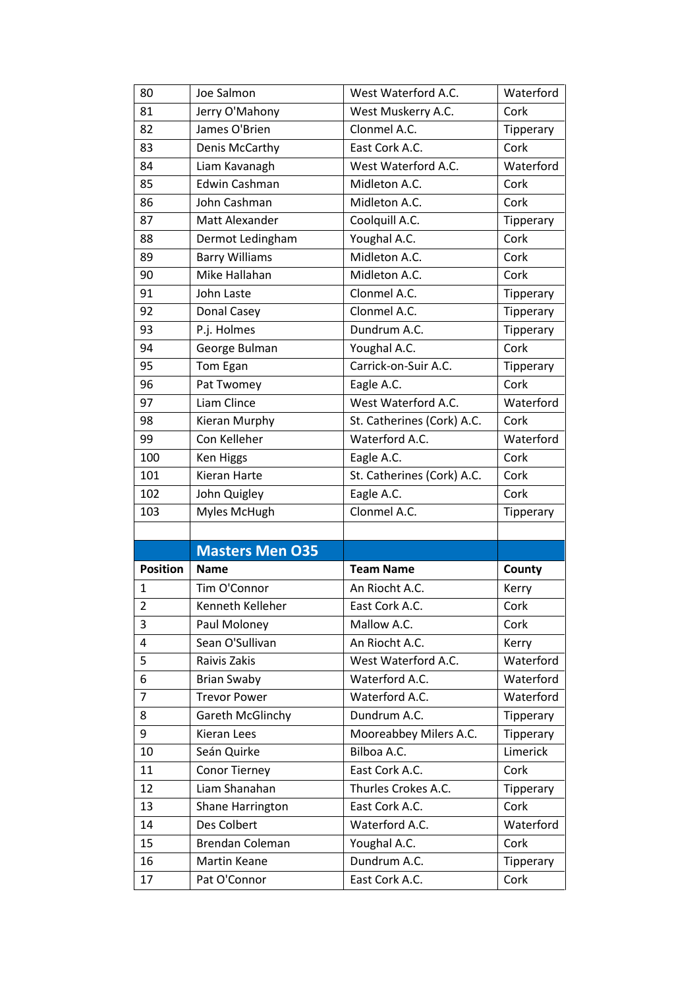| 80                      | Joe Salmon             | West Waterford A.C.        | Waterford |
|-------------------------|------------------------|----------------------------|-----------|
| 81                      | Jerry O'Mahony         | West Muskerry A.C.         | Cork      |
| 82                      | James O'Brien          | Clonmel A.C.               | Tipperary |
| 83                      | Denis McCarthy         | East Cork A.C.             | Cork      |
| 84                      | Liam Kavanagh          | West Waterford A.C.        | Waterford |
| 85                      | <b>Edwin Cashman</b>   | Midleton A.C.              | Cork      |
| 86                      | John Cashman           | Midleton A.C.              | Cork      |
| 87                      | Matt Alexander         | Coolquill A.C.             | Tipperary |
| 88                      | Dermot Ledingham       | Youghal A.C.               | Cork      |
| 89                      | <b>Barry Williams</b>  | Midleton A.C.              | Cork      |
| 90                      | Mike Hallahan          | Midleton A.C.              | Cork      |
| 91                      | John Laste             | Clonmel A.C.               | Tipperary |
| 92                      | Donal Casey            | Clonmel A.C.               | Tipperary |
| 93                      | P.j. Holmes            | Dundrum A.C.               | Tipperary |
| 94                      | George Bulman          | Youghal A.C.               | Cork      |
| 95                      | Tom Egan               | Carrick-on-Suir A.C.       | Tipperary |
| 96                      | Pat Twomey             | Eagle A.C.                 | Cork      |
| 97                      | Liam Clince            | West Waterford A.C.        | Waterford |
| 98                      | Kieran Murphy          | St. Catherines (Cork) A.C. | Cork      |
| 99                      | Con Kelleher           | Waterford A.C.             | Waterford |
| 100                     | <b>Ken Higgs</b>       | Eagle A.C.                 | Cork      |
| 101                     | Kieran Harte           | St. Catherines (Cork) A.C. | Cork      |
| 102                     | John Quigley           | Eagle A.C.                 | Cork      |
| 103                     | Myles McHugh           | Clonmel A.C.               | Tipperary |
|                         |                        |                            |           |
|                         |                        |                            |           |
|                         | <b>Masters Men O35</b> |                            |           |
| <b>Position</b>         | <b>Name</b>            | <b>Team Name</b>           | County    |
| $\mathbf{1}$            | Tim O'Connor           | An Riocht A.C.             | Kerry     |
| $\overline{\mathbf{c}}$ | Kenneth Kelleher       | East Cork A.C.             | Cork      |
| 3                       | Paul Moloney           | Mallow A.C.                | Cork      |
| 4                       | Sean O'Sullivan        | An Riocht A.C.             | Kerry     |
| 5                       | Raivis Zakis           | West Waterford A.C.        | Waterford |
| 6                       | <b>Brian Swaby</b>     | Waterford A.C.             | Waterford |
| $\overline{7}$          | <b>Trevor Power</b>    | Waterford A.C.             | Waterford |
| 8                       | Gareth McGlinchy       | Dundrum A.C.               | Tipperary |
| 9                       | <b>Kieran Lees</b>     | Mooreabbey Milers A.C.     | Tipperary |
| 10                      | Seán Quirke            | Bilboa A.C.                | Limerick  |
| 11                      | Conor Tierney          | East Cork A.C.             | Cork      |
| 12                      | Liam Shanahan          | Thurles Crokes A.C.        | Tipperary |
| 13                      | Shane Harrington       | East Cork A.C.             | Cork      |
| 14                      | Des Colbert            | Waterford A.C.             | Waterford |
| 15                      | Brendan Coleman        | Youghal A.C.               | Cork      |
| 16                      | Martin Keane           | Dundrum A.C.               | Tipperary |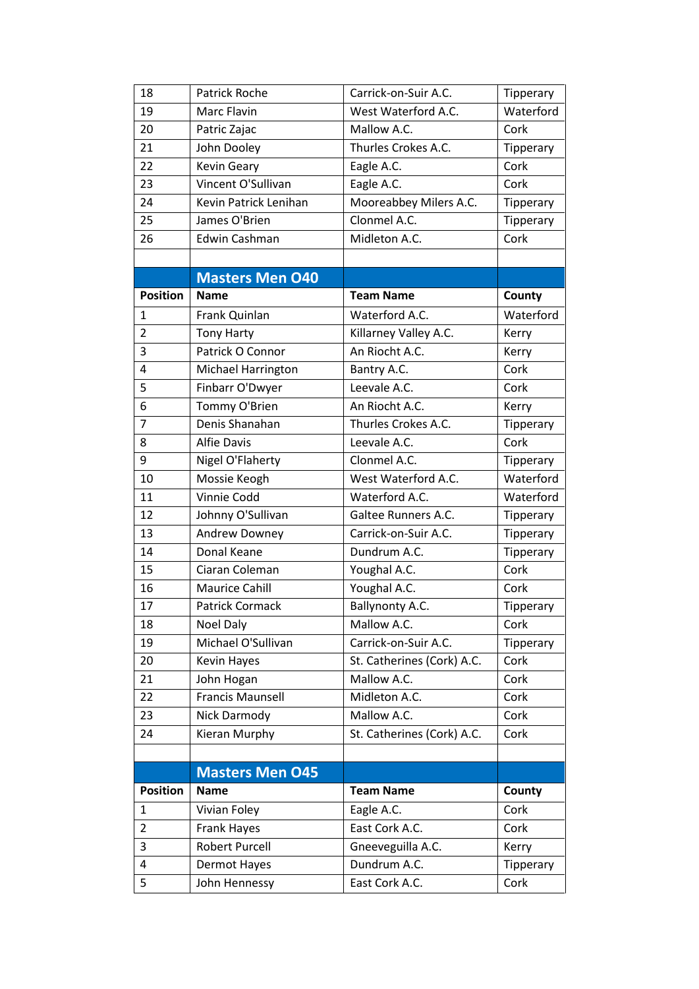| 18              | Patrick Roche           | Carrick-on-Suir A.C.       | Tipperary |
|-----------------|-------------------------|----------------------------|-----------|
| 19              | Marc Flavin             | West Waterford A.C.        | Waterford |
| 20              | Patric Zajac            | Mallow A.C.                | Cork      |
| 21              | John Dooley             | Thurles Crokes A.C.        | Tipperary |
| 22              | <b>Kevin Geary</b>      | Eagle A.C.                 | Cork      |
| 23              | Vincent O'Sullivan      | Eagle A.C.                 | Cork      |
| 24              | Kevin Patrick Lenihan   | Mooreabbey Milers A.C.     | Tipperary |
| 25              | James O'Brien           | Clonmel A.C.               | Tipperary |
| 26              | Edwin Cashman           | Midleton A.C.              | Cork      |
|                 |                         |                            |           |
|                 | <b>Masters Men O40</b>  |                            |           |
| <b>Position</b> | <b>Name</b>             | <b>Team Name</b>           | County    |
| 1               | Frank Quinlan           | Waterford A.C.             | Waterford |
| $\overline{2}$  | <b>Tony Harty</b>       | Killarney Valley A.C.      | Kerry     |
| 3               | Patrick O Connor        | An Riocht A.C.             | Kerry     |
| $\overline{4}$  | Michael Harrington      | Bantry A.C.                | Cork      |
| 5               | Finbarr O'Dwyer         | Leevale A.C.               | Cork      |
| 6               | Tommy O'Brien           | An Riocht A.C.             | Kerry     |
| $\overline{7}$  | Denis Shanahan          | Thurles Crokes A.C.        | Tipperary |
| 8               | <b>Alfie Davis</b>      | Leevale A.C.               | Cork      |
| 9               | Nigel O'Flaherty        | Clonmel A.C.               | Tipperary |
| 10              | Mossie Keogh            | West Waterford A.C.        | Waterford |
| 11              | Vinnie Codd             | Waterford A.C.             | Waterford |
| 12              | Johnny O'Sullivan       | Galtee Runners A.C.        | Tipperary |
| 13              | Andrew Downey           | Carrick-on-Suir A.C.       | Tipperary |
| 14              | Donal Keane             | Dundrum A.C.               | Tipperary |
| 15              | Ciaran Coleman          | Youghal A.C.               | Cork      |
| 16              | <b>Maurice Cahill</b>   | Youghal A.C.               | Cork      |
| 17              | Patrick Cormack         | Ballynonty A.C.            | Tipperary |
| 18              | Noel Daly               | Mallow A.C.                | Cork      |
| 19              | Michael O'Sullivan      | Carrick-on-Suir A.C.       | Tipperary |
| 20              | <b>Kevin Hayes</b>      | St. Catherines (Cork) A.C. | Cork      |
| 21              | John Hogan              | Mallow A.C.                | Cork      |
| 22              | <b>Francis Maunsell</b> | Midleton A.C.              | Cork      |
| 23              | Nick Darmody            | Mallow A.C.                | Cork      |
| 24              | Kieran Murphy           | St. Catherines (Cork) A.C. | Cork      |
|                 |                         |                            |           |
|                 | <b>Masters Men O45</b>  |                            |           |
| <b>Position</b> | <b>Name</b>             | <b>Team Name</b>           | County    |
| 1               | Vivian Foley            | Eagle A.C.                 | Cork      |
| $\overline{2}$  | Frank Hayes             | East Cork A.C.             | Cork      |
| 3               | <b>Robert Purcell</b>   | Gneeveguilla A.C.          | Kerry     |
| 4               | Dermot Hayes            | Dundrum A.C.               | Tipperary |
| 5               | John Hennessy           | East Cork A.C.             | Cork      |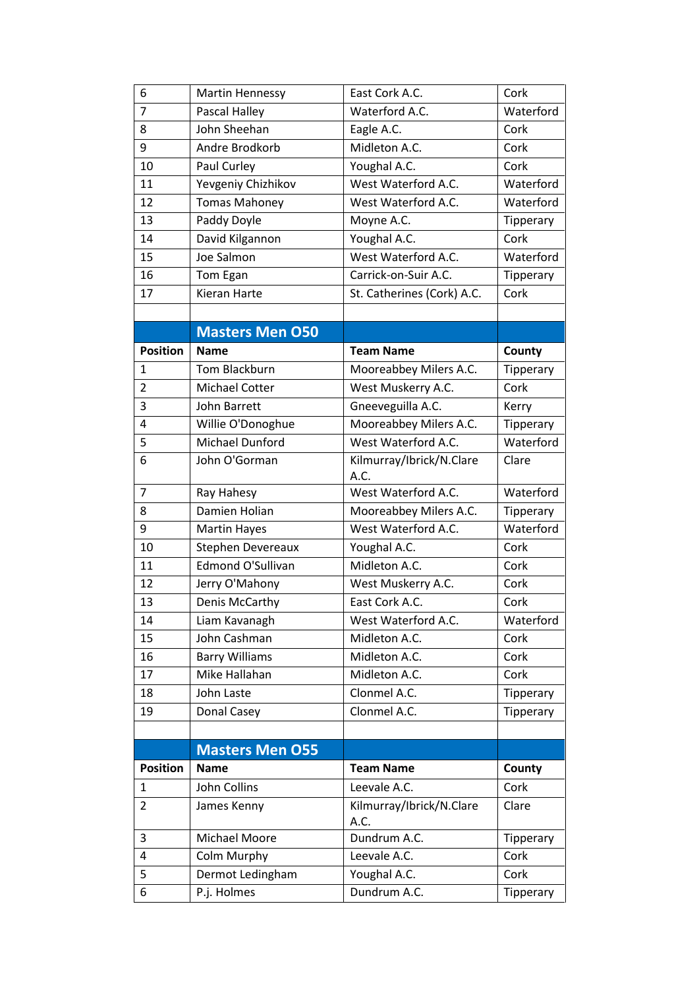| 6               | <b>Martin Hennessy</b> | East Cork A.C.                   | Cork      |
|-----------------|------------------------|----------------------------------|-----------|
| $\overline{7}$  | Pascal Halley          | Waterford A.C.                   | Waterford |
| 8               | John Sheehan           | Eagle A.C.                       | Cork      |
| 9               | Andre Brodkorb         | Midleton A.C.                    | Cork      |
| 10              | Paul Curley            | Youghal A.C.                     | Cork      |
| 11              | Yevgeniy Chizhikov     | West Waterford A.C.              | Waterford |
| 12              | <b>Tomas Mahoney</b>   | West Waterford A.C.              | Waterford |
| 13              | Paddy Doyle            | Moyne A.C.                       | Tipperary |
| 14              | David Kilgannon        | Youghal A.C.                     | Cork      |
| 15              | Joe Salmon             | West Waterford A.C.              | Waterford |
| 16              | Tom Egan               | Carrick-on-Suir A.C.             | Tipperary |
| 17              | Kieran Harte           | St. Catherines (Cork) A.C.       | Cork      |
|                 |                        |                                  |           |
|                 | <b>Masters Men O50</b> |                                  |           |
| <b>Position</b> | <b>Name</b>            | <b>Team Name</b>                 | County    |
| $\mathbf{1}$    | Tom Blackburn          | Mooreabbey Milers A.C.           | Tipperary |
| $\overline{2}$  | <b>Michael Cotter</b>  | West Muskerry A.C.               | Cork      |
| 3               | John Barrett           | Gneeveguilla A.C.                | Kerry     |
| 4               | Willie O'Donoghue      | Mooreabbey Milers A.C.           | Tipperary |
| 5               | <b>Michael Dunford</b> | West Waterford A.C.              | Waterford |
| 6               | John O'Gorman          | Kilmurray/Ibrick/N.Clare<br>A.C. | Clare     |
| $\overline{7}$  | Ray Hahesy             | West Waterford A.C.              | Waterford |
| 8               | Damien Holian          | Mooreabbey Milers A.C.           | Tipperary |
| 9               | <b>Martin Hayes</b>    | West Waterford A.C.              | Waterford |
| 10              | Stephen Devereaux      | Youghal A.C.                     | Cork      |
| 11              | Edmond O'Sullivan      | Midleton A.C.                    | Cork      |
| 12              | Jerry O'Mahony         | West Muskerry A.C.               | Cork      |
| 13              | Denis McCarthy         | East Cork A.C.                   | Cork      |
| 14              | Liam Kavanagh          | West Waterford A.C.              | Waterford |
| 15              | John Cashman           | Midleton A.C.                    | Cork      |
| 16              | <b>Barry Williams</b>  | Midleton A.C.                    | Cork      |
| 17              | Mike Hallahan          | Midleton A.C.                    | Cork      |
| 18              | John Laste             | Clonmel A.C.                     | Tipperary |
| 19              | Donal Casey            | Clonmel A.C.                     | Tipperary |
|                 |                        |                                  |           |
|                 | <b>Masters Men O55</b> |                                  |           |
| <b>Position</b> | <b>Name</b>            | <b>Team Name</b>                 | County    |
| $\mathbf{1}$    | John Collins           | Leevale A.C.                     | Cork      |
| 2               | James Kenny            | Kilmurray/Ibrick/N.Clare<br>A.C. | Clare     |
| 3               | Michael Moore          | Dundrum A.C.                     | Tipperary |
| 4               | Colm Murphy            | Leevale A.C.                     | Cork      |
| 5               | Dermot Ledingham       | Youghal A.C.                     | Cork      |
| 6               | P.j. Holmes            | Dundrum A.C.                     | Tipperary |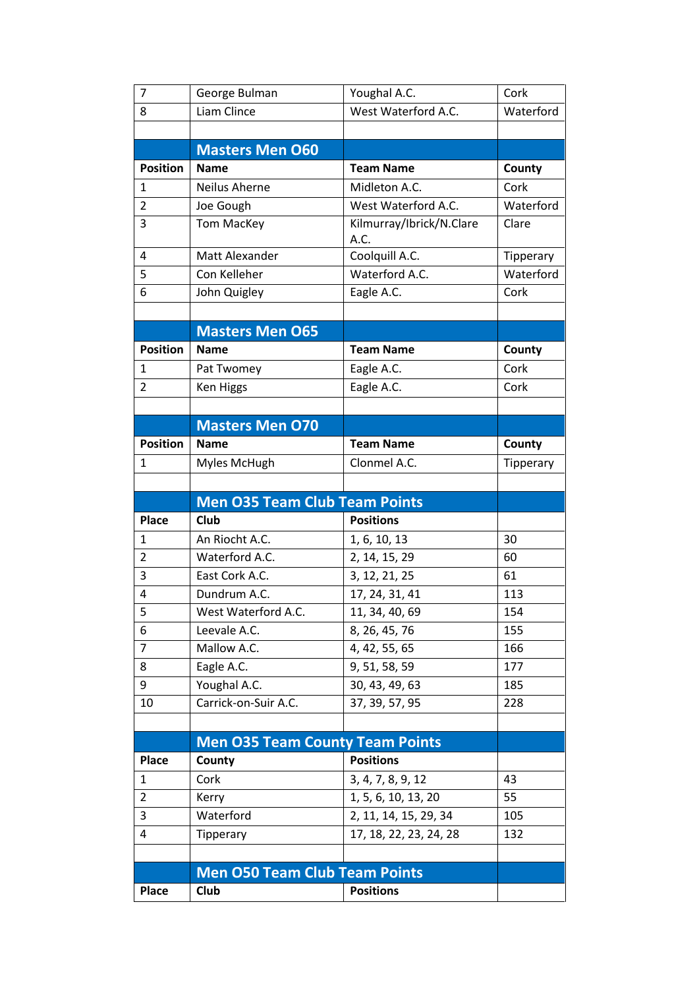| $\overline{7}$  | George Bulman                                       | Youghal A.C.                     | Cork      |
|-----------------|-----------------------------------------------------|----------------------------------|-----------|
| 8               | Liam Clince                                         | West Waterford A.C.              | Waterford |
|                 |                                                     |                                  |           |
|                 | <b>Masters Men O60</b>                              |                                  |           |
| <b>Position</b> | <b>Name</b>                                         | <b>Team Name</b>                 | County    |
| 1               | Neilus Aherne                                       | Midleton A.C.                    | Cork      |
| $\overline{2}$  | Joe Gough                                           | West Waterford A.C.              | Waterford |
| 3               | <b>Tom MacKey</b>                                   | Kilmurray/Ibrick/N.Clare<br>A.C. | Clare     |
| 4               | Matt Alexander                                      | Coolquill A.C.                   | Tipperary |
| 5               | Con Kelleher                                        | Waterford A.C.                   | Waterford |
| 6               | John Quigley                                        | Eagle A.C.                       | Cork      |
|                 |                                                     |                                  |           |
|                 | <b>Masters Men O65</b>                              |                                  |           |
| <b>Position</b> | <b>Name</b>                                         | <b>Team Name</b>                 | County    |
| 1               | Pat Twomey                                          | Eagle A.C.                       | Cork      |
| 2               | <b>Ken Higgs</b>                                    | Eagle A.C.                       | Cork      |
|                 |                                                     |                                  |           |
|                 | <b>Masters Men O70</b>                              |                                  |           |
| <b>Position</b> | <b>Name</b>                                         | <b>Team Name</b>                 | County    |
| $\mathbf{1}$    | Myles McHugh                                        | Clonmel A.C.                     | Tipperary |
|                 |                                                     |                                  |           |
|                 |                                                     |                                  |           |
|                 |                                                     |                                  |           |
| <b>Place</b>    | <b>Men O35 Team Club Team Points</b><br><b>Club</b> | <b>Positions</b>                 |           |
| 1               | An Riocht A.C.                                      |                                  | 30        |
| $\overline{2}$  | Waterford A.C.                                      | 1, 6, 10, 13                     | 60        |
| 3               | East Cork A.C.                                      | 2, 14, 15, 29<br>3, 12, 21, 25   | 61        |
| 4               | Dundrum A.C.                                        | 17, 24, 31, 41                   | 113       |
| 5               | West Waterford A.C.                                 | 11, 34, 40, 69                   | 154       |
| 6               | Leevale A.C.                                        | 8, 26, 45, 76                    | 155       |
| 7               | Mallow A.C.                                         | 4, 42, 55, 65                    | 166       |
| 8               | Eagle A.C.                                          | 9, 51, 58, 59                    | 177       |
| 9               | Youghal A.C.                                        | 30, 43, 49, 63                   | 185       |
| 10              | Carrick-on-Suir A.C.                                | 37, 39, 57, 95                   | 228       |
|                 |                                                     |                                  |           |
|                 |                                                     |                                  |           |
| <b>Place</b>    | <b>Men O35 Team County Team Points</b><br>County    | <b>Positions</b>                 |           |
| $\mathbf{1}$    | Cork                                                | 3, 4, 7, 8, 9, 12                | 43        |
| $\overline{2}$  | Kerry                                               | 1, 5, 6, 10, 13, 20              | 55        |
| 3               | Waterford                                           | 2, 11, 14, 15, 29, 34            | 105       |
| 4               | Tipperary                                           | 17, 18, 22, 23, 24, 28           | 132       |
|                 |                                                     |                                  |           |
|                 | <b>Men O50 Team Club Team Points</b>                |                                  |           |